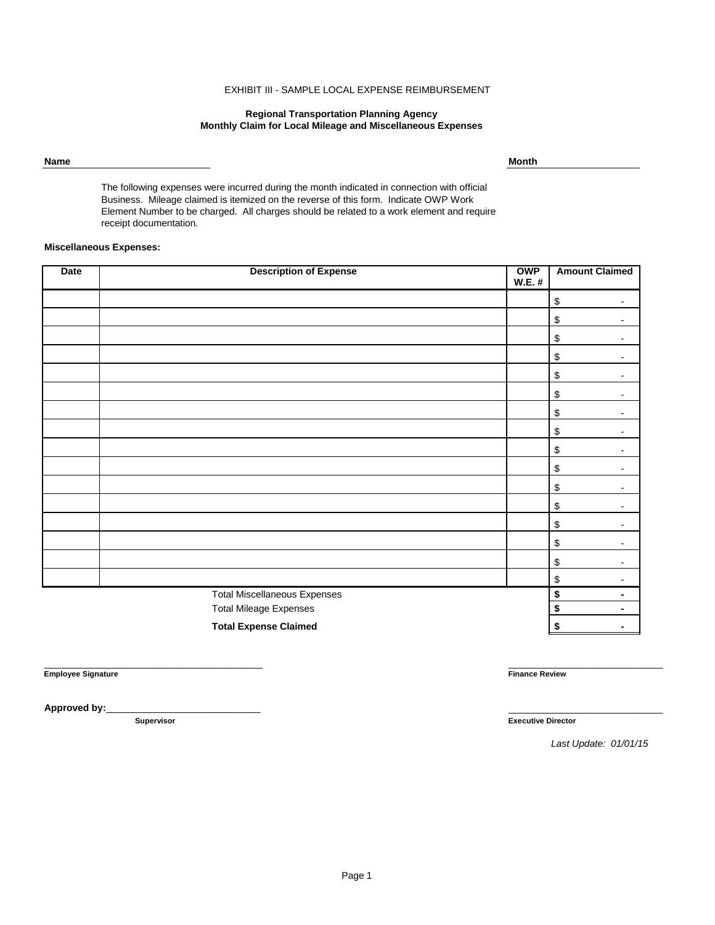## EXHIBIT III - SAMPLE LOCAL EXPENSE REIMBURSEMENT

#### **Regional Transportation Planning Agency Monthly Claim for Local Mileage and Miscellaneous Expenses**

**Name Month**

The following expenses were incurred during the month indicated in connection with official Business. Mileage claimed is itemized on the reverse of this form. Indicate OWP Work Element Number to be charged. All charges should be related to a work element and require receipt documentation.

### **Miscellaneous Expenses:**

| <b>Date</b>                         | <b>Description of Expense</b> | <b>OWP</b><br><b>W.E.#</b> | <b>Amount Claimed</b>                                               |
|-------------------------------------|-------------------------------|----------------------------|---------------------------------------------------------------------|
|                                     |                               |                            | $\, \, \raisebox{12pt}{$\scriptstyle \$}$<br>$\blacksquare$         |
|                                     |                               |                            | $\,$<br>$\blacksquare$                                              |
|                                     |                               |                            | \$<br>$\blacksquare$                                                |
|                                     |                               |                            | $\,$<br>۰                                                           |
|                                     |                               |                            | $\,$                                                                |
|                                     |                               |                            | $\,$<br>$\overline{\phantom{0}}$                                    |
|                                     |                               |                            | $\, \, \raisebox{-1.5pt}{\text{\circle*{1.5}}}\,$<br>$\blacksquare$ |
|                                     |                               |                            | $\,$<br>$\blacksquare$                                              |
|                                     |                               |                            | $\, \, \raisebox{-1.5pt}{\text{\circle*{1.5}}}\,$<br>$\blacksquare$ |
|                                     |                               |                            | $\, \, \raisebox{-1.5pt}{\text{\circle*{1.5}}}\,$<br>$\blacksquare$ |
|                                     |                               |                            | $\,$<br>$\blacksquare$                                              |
|                                     |                               |                            | $\, \, \raisebox{-1.5pt}{\text{\circle*{1.5}}}\,$<br>$\blacksquare$ |
|                                     |                               |                            | $\,$<br>-                                                           |
|                                     |                               |                            | $\, \, \raisebox{12pt}{$\scriptstyle \$}$                           |
|                                     |                               |                            | $\, \, \raisebox{-1.5pt}{\text{\circle*{1.5}}}\,$<br>$\blacksquare$ |
|                                     |                               |                            | \$<br>$\blacksquare$                                                |
| <b>Total Miscellaneous Expenses</b> |                               |                            | \$<br>$\blacksquare$                                                |
|                                     | <b>Total Mileage Expenses</b> |                            | \$<br>٠                                                             |
|                                     | <b>Total Expense Claimed</b>  |                            | \$                                                                  |

**Employee Signature Finance Review**

Approved by:

\_\_\_\_\_\_\_\_\_\_\_\_\_\_\_\_\_\_\_\_\_\_\_\_\_\_\_\_\_\_\_\_\_\_\_\_\_\_\_\_\_ \_\_\_\_\_\_\_\_\_\_\_\_\_\_\_\_\_\_\_\_\_\_\_\_\_\_\_\_\_

**Supervisor Executive Director**

*Last Update: 01/01/15*